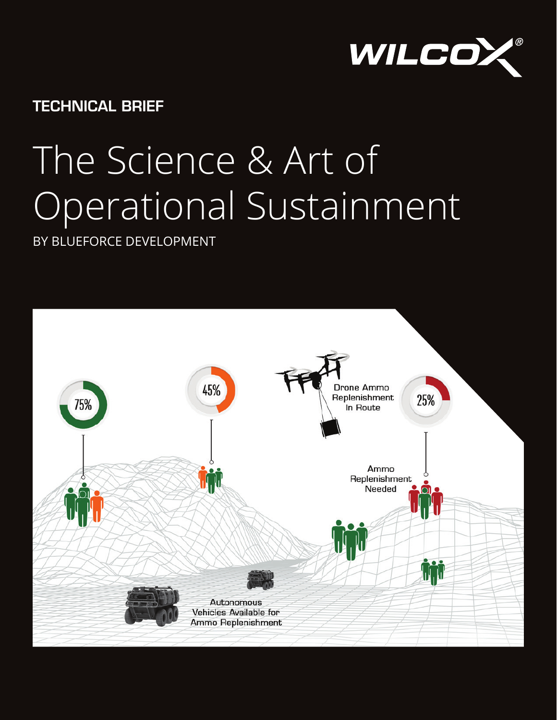

TECHNICAL BRIEF

# The Science & Art of Operational Sustainment

BY BLUEFORCE DEVELOPMENT

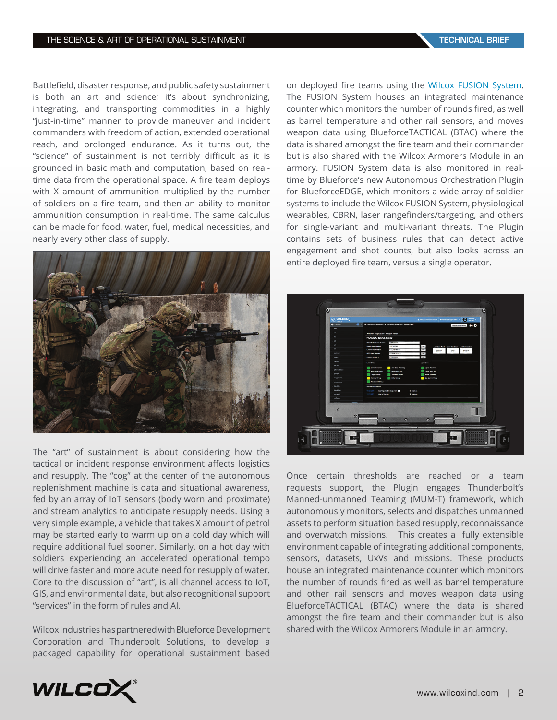Battlefield, disaster response, and public safety sustainment is both an art and science; it's about synchronizing, integrating, and transporting commodities in a highly "just-in-time" manner to provide maneuver and incident commanders with freedom of action, extended operational reach, and prolonged endurance. As it turns out, the "science" of sustainment is not terribly difficult as it is grounded in basic math and computation, based on realtime data from the operational space. A fire team deploys with X amount of ammunition multiplied by the number of soldiers on a fire team, and then an ability to monitor ammunition consumption in real-time. The same calculus can be made for food, water, fuel, medical necessities, and nearly every other class of supply.



The "art" of sustainment is about considering how the tactical or incident response environment affects logistics and resupply. The "cog" at the center of the autonomous replenishment machine is data and situational awareness, fed by an array of IoT sensors (body worn and proximate) and stream analytics to anticipate resupply needs. Using a very simple example, a vehicle that takes X amount of petrol may be started early to warm up on a cold day which will require additional fuel sooner. Similarly, on a hot day with soldiers experiencing an accelerated operational tempo will drive faster and more acute need for resupply of water. Core to the discussion of "art", is all channel access to IoT, GIS, and environmental data, but also recognitional support "services" in the form of rules and AI.

Wilcox Industries has partnered with Blueforce Development Corporation and Thunderbolt Solutions, to develop a packaged capability for operational sustainment based

on deployed fire teams using the [Wilcox FUSION System](https://www.wilcoxind.com/products/combat-systems/fusion-system). The FUSION System houses an integrated maintenance counter which monitors the number of rounds fired, as well as barrel temperature and other rail sensors, and moves weapon data using BlueforceTACTICAL (BTAC) where the data is shared amongst the fire team and their commander but is also shared with the Wilcox Armorers Module in an armory. FUSION System data is also monitored in realtime by Blueforce's new Autonomous Orchestration Plugin for BlueforceEDGE, which monitors a wide array of soldier systems to include the Wilcox FUSION System, physiological wearables, CBRN, laser rangefinders/targeting, and others for single-variant and multi-variant threats. The Plugin contains sets of business rules that can detect active engagement and shot counts, but also looks across an entire deployed fire team, versus a single operator.



Once certain thresholds are reached or a team requests support, the Plugin engages Thunderbolt's Manned-unmanned Teaming (MUM-T) framework, which autonomously monitors, selects and dispatches unmanned assets to perform situation based resupply, reconnaissance and overwatch missions. This creates a fully extensible environment capable of integrating additional components, sensors, datasets, UxVs and missions. These products house an integrated maintenance counter which monitors the number of rounds fired as well as barrel temperature and other rail sensors and moves weapon data using BlueforceTACTICAL (BTAC) where the data is shared amongst the fire team and their commander but is also shared with the Wilcox Armorers Module in an armory.